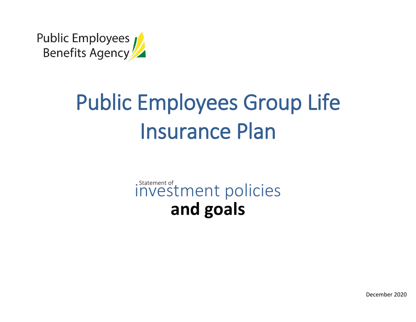

# Public Employees Group Life Insurance Plan

# Investment policies **and goals**

December 2020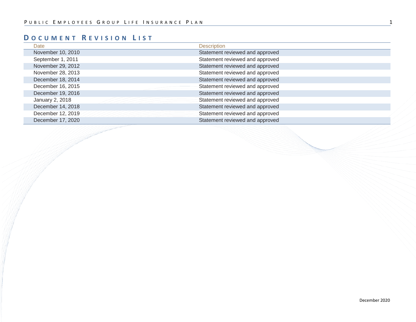# **D OCUMENT R EVISION L IST**

| Date              | <b>Description</b>              |
|-------------------|---------------------------------|
| November 10, 2010 | Statement reviewed and approved |
| September 1, 2011 | Statement reviewed and approved |
| November 29, 2012 | Statement reviewed and approved |
| November 28, 2013 | Statement reviewed and approved |
| December 18, 2014 | Statement reviewed and approved |
| December 16, 2015 | Statement reviewed and approved |
| December 19, 2016 | Statement reviewed and approved |
| January 2, 2018   | Statement reviewed and approved |
| December 14, 2018 | Statement reviewed and approved |
| December 12, 2019 | Statement reviewed and approved |
| December 17, 2020 | Statement reviewed and approved |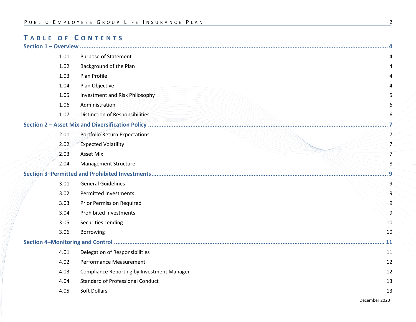# **T ABLE OF C ONTENTS**

| 1.01 | <b>Purpose of Statement</b>                |                |
|------|--------------------------------------------|----------------|
| 1.02 | Background of the Plan                     |                |
| 1.03 | Plan Profile                               |                |
| 1.04 | Plan Objective                             |                |
| 1.05 | Investment and Risk Philosophy             |                |
| 1.06 | Administration                             |                |
| 1.07 | Distinction of Responsibilities            | 6              |
|      |                                            |                |
| 2.01 | Portfolio Return Expectations              | $\overline{7}$ |
| 2.02 | <b>Expected Volatility</b>                 | 7              |
| 2.03 | <b>Asset Mix</b>                           | 7              |
| 2.04 | <b>Management Structure</b>                | 8              |
|      |                                            |                |
| 3.01 | <b>General Guidelines</b>                  | 9              |
| 3.02 | <b>Permitted Investments</b>               | 9              |
| 3.03 | <b>Prior Permission Required</b>           | q              |
| 3.04 | <b>Prohibited Investments</b>              |                |
| 3.05 | <b>Securities Lending</b>                  | 10             |
| 3.06 | Borrowing                                  | 10             |
|      |                                            |                |
| 4.01 | Delegation of Responsibilities             | 11             |
| 4.02 | Performance Measurement                    | 12             |
| 4.03 | Compliance Reporting by Investment Manager | 12             |
| 4.04 | <b>Standard of Professional Conduct</b>    | 13             |
| 4.05 | Soft Dollars                               | 13             |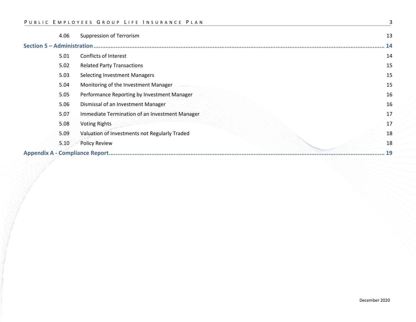|                                    | 4.06 | <b>Suppression of Terrorism</b>                | 13 |
|------------------------------------|------|------------------------------------------------|----|
| <b>Section 5 - Administration.</b> |      |                                                | 14 |
|                                    | 5.01 | Conflicts of Interest                          | 14 |
|                                    | 5.02 | <b>Related Party Transactions</b>              | 15 |
|                                    | 5.03 | <b>Selecting Investment Managers</b>           | 15 |
|                                    | 5.04 | Monitoring of the Investment Manager           | 15 |
|                                    | 5.05 | Performance Reporting by Investment Manager    | 16 |
|                                    | 5.06 | Dismissal of an Investment Manager             | 16 |
|                                    | 5.07 | Immediate Termination of an Investment Manager | 17 |
|                                    | 5.08 | <b>Voting Rights</b>                           | 17 |
|                                    | 5.09 | Valuation of Investments not Regularly Traded  | 18 |
|                                    | 5.10 | <b>Policy Review</b>                           | 18 |
|                                    |      |                                                | 19 |
|                                    |      |                                                |    |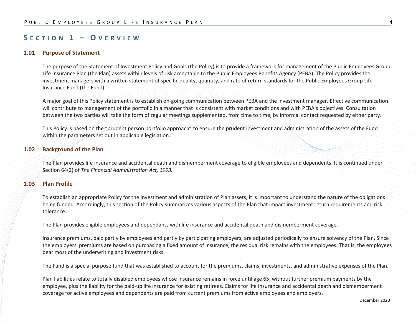## **S ECTION 1 – O VERVIEW**

#### **1.01 Purpose of Statement**

The purpose of the Statement of Investment Policy and Goals (the Policy) is to provide a framework for management of the Public Employees Group Life Insurance Plan (the Plan) assets within levels of risk acceptable to the Public Employees Benefits Agency (PEBA). The Policy provides the investment managers with a written statement of specific quality, quantity, and rate of return standards for the Public Employees Group Life Insurance Fund (the Fund).

A major goal of this Policy statement is to establish on-going communication between PEBA and the investment manager. Effective communication will contribute to management of the portfolio in a manner that is consistent with market conditions and with PEBA's objectives. Consultation between the two parties will take the form of regular meetings supplemented, from time to time, by informal contact requested by either party.

This Policy is based on the "prudent person portfolio approach" to ensure the prudent investment and administration of the assets of the Fund within the parameters set out in applicable legislation.

#### **1.02 Background of the Plan**

The Plan provides life insurance and accidental death and dismemberment coverage to eligible employees and dependents. It is continued under Section 64(2) of *The Financial Administration Act, 1993.*

#### **1.03 Plan Profile**

To establish an appropriate Policy for the investment and administration of Plan assets, it is important to understand the nature of the obligations being funded. Accordingly, this section of the Policy summarizes various aspects of the Plan that impact investment return requirements and risk tolerance.

The Plan provides eligible employees and dependants with life insurance and accidental death and dismemberment coverage.

Insurance premiums, paid partly by employees and partly by participating employers, are adjusted periodically to ensure solvency of the Plan. Since the employers' premiums are based on purchasing a fixed amount of insurance, the residual risk remains with the employees. That is, the employees bear most of the underwriting and investment risks.

The Fund is a special purpose fund that was established to account for the premiums, claims, investments, and administrative expenses of the Plan.

Plan liabilities relate to totally disabled employees whose insurance remains in force until age 65, without further premium payments by the employee, plus the liability for the paid-up life insurance for existing retirees. Claims for life insurance and accidental death and dismemberment coverage for active employees and dependents are paid from current premiums from active employees and employers.

December 2020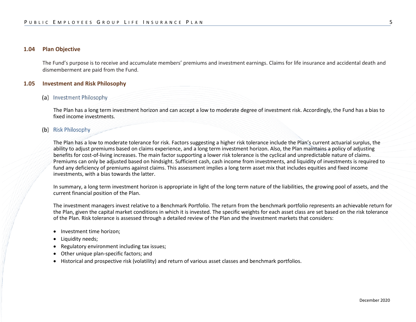#### **1.04 Plan Objective**

The Fund's purpose is to receive and accumulate members' premiums and investment earnings. Claims for life insurance and accidental death and dismemberment are paid from the Fund.

#### **1.05 Investment and Risk Philosophy**

#### (a) Investment Philosophy

The Plan has a long term investment horizon and can accept a low to moderate degree of investment risk. Accordingly, the Fund has a bias to fixed income investments.

#### (b) Risk Philosophy

The Plan has a low to moderate tolerance for risk. Factors suggesting a higher risk tolerance include the Plan's current actuarial surplus, the ability to adjust premiums based on claims experience, and a long term investment horizon. Also, the Plan maintains a policy of adjusting benefits for cost-of-living increases. The main factor supporting a lower risk tolerance is the cyclical and unpredictable nature of claims. Premiums can only be adjusted based on hindsight. Sufficient cash, cash income from investments, and liquidity of investments is required to fund any deficiency of premiums against claims. This assessment implies a long term asset mix that includes equities and fixed income investments, with a bias towards the latter.

In summary, a long term investment horizon is appropriate in light of the long term nature of the liabilities, the growing pool of assets, and the current financial position of the Plan.

The investment managers invest relative to a Benchmark Portfolio. The return from the benchmark portfolio represents an achievable return for the Plan, given the capital market conditions in which it is invested. The specific weights for each asset class are set based on the risk tolerance of the Plan. Risk tolerance is assessed through a detailed review of the Plan and the investment markets that considers:

- Investment time horizon;
- Liquidity needs;
- Regulatory environment including tax issues;
- Other unique plan-specific factors; and
- Historical and prospective risk (volatility) and return of various asset classes and benchmark portfolios.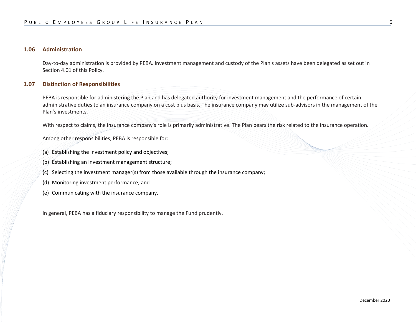#### **1.06 Administration**

Day-to-day administration is provided by PEBA. Investment management and custody of the Plan's assets have been delegated as set out in Section 4.01 of this Policy.

#### **1.07 Distinction of Responsibilities**

PEBA is responsible for administering the Plan and has delegated authority for investment management and the performance of certain administrative duties to an insurance company on a cost plus basis. The insurance company may utilize sub-advisors in the management of the Plan's investments.

With respect to claims, the insurance company's role is primarily administrative. The Plan bears the risk related to the insurance operation.

Among other responsibilities, PEBA is responsible for:

- (a) Establishing the investment policy and objectives;
- (b) Establishing an investment management structure;
- (c) Selecting the investment manager(s) from those available through the insurance company;
- (d) Monitoring investment performance; and
- (e) Communicating with the insurance company.

In general, PEBA has a fiduciary responsibility to manage the Fund prudently.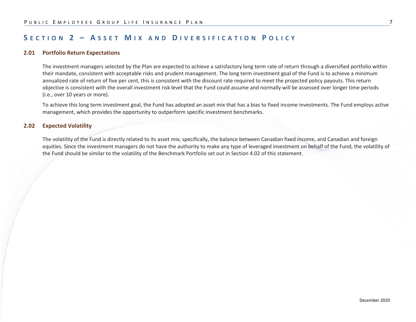# **S ECTION 2 – A SSET M IX AND D IVERSIFICATION P OLICY**

#### **2.01 Portfolio Return Expectations**

The investment managers selected by the Plan are expected to achieve a satisfactory long term rate of return through a diversified portfolio within their mandate, consistent with acceptable risks and prudent management. The long term investment goal of the Fund is to achieve a minimum annualized rate of return of five per cent, this is consistent with the discount rate required to meet the projected policy payouts. This return objective is consistent with the overall investment risk level that the Fund could assume and normally will be assessed over longer time periods (i.e., over 10 years or more).

To achieve this long term investment goal, the Fund has adopted an asset mix that has a bias to fixed income investments. The Fund employs active management, which provides the opportunity to outperform specific investment benchmarks.

#### **2.02 Expected Volatility**

The volatility of the Fund is directly related to its asset mix; specifically, the balance between Canadian fixed income, and Canadian and foreign equities. Since the investment managers do not have the authority to make any type of leveraged investment on behalf of the Fund, the volatility of the Fund should be similar to the volatility of the Benchmark Portfolio set out in Section 4.02 of this statement.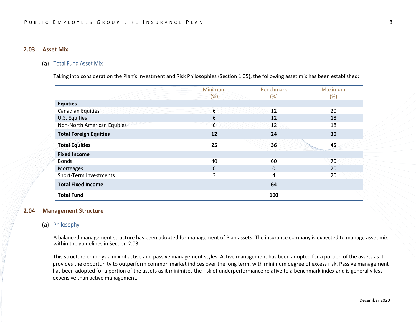#### **2.03 Asset Mix**

#### (a) Total Fund Asset Mix

Taking into consideration the Plan's Investment and Risk Philosophies (Section 1.05), the following asset mix has been established:

|                               | <b>Minimum</b> | <b>Benchmark</b> | Maximum |
|-------------------------------|----------------|------------------|---------|
|                               | (%)            | $(\%)$           | $(\%)$  |
| <b>Equities</b>               |                |                  |         |
| <b>Canadian Equities</b>      | 6              | 12               | 20      |
| U.S. Equities                 | 6              | 12               | 18      |
| Non-North American Equities   | 6              | 12               | 18      |
| <b>Total Foreign Equities</b> | 12             | 24               | 30      |
| <b>Total Equities</b>         | 25             | 36               | 45      |
| <b>Fixed Income</b>           |                |                  |         |
| <b>Bonds</b>                  | 40             | 60               | 70      |
| Mortgages                     | 0              | 0                | 20      |
| Short-Term Investments        | 3              | 4                | 20      |
| <b>Total Fixed Income</b>     |                | 64               |         |
| <b>Total Fund</b>             |                | 100              |         |

#### **2.04 Management Structure**

#### (a) Philosophy

A balanced management structure has been adopted for management of Plan assets. The insurance company is expected to manage asset mix within the guidelines in Section 2.03.

This structure employs a mix of active and passive management styles. Active management has been adopted for a portion of the assets as it provides the opportunity to outperform common market indices over the long term, with minimum degree of excess risk. Passive management has been adopted for a portion of the assets as it minimizes the risk of underperformance relative to a benchmark index and is generally less expensive than active management.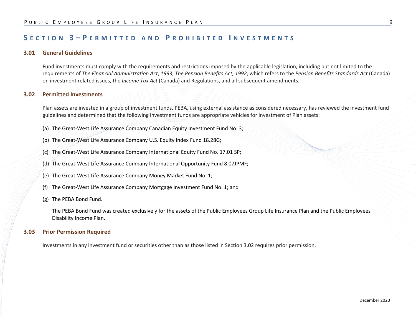# **S ECTION 3 – P ERMITTED AND P ROHIBITED I NVESTMENTS**

#### **3.01 General Guidelines**

Fund investments must comply with the requirements and restrictions imposed by the applicable legislation, including but not limited to the requirements of *The Financial Administration Act*, *1993*, *The Pension Benefits Act, 1992*, which refers to the *Pension Benefits Standards Act* (Canada) on investment related issues, the *Income Tax Act* (Canada) and Regulations, and all subsequent amendments.

#### **3.02 Permitted Investments**

Plan assets are invested in a group of investment funds. PEBA, using external assistance as considered necessary, has reviewed the investment fund guidelines and determined that the following investment funds are appropriate vehicles for investment of Plan assets:

- (a) The Great-West Life Assurance Company Canadian Equity Investment Fund No. 3;
- (b) The Great-West Life Assurance Company U.S. Equity Index Fund 18.28G;
- (c) The Great-West Life Assurance Company International Equity Fund No. 17.01 SP;
- (d) The Great-West Life Assurance Company International Opportunity Fund 8.07JPMF;
- (e) The Great-West Life Assurance Company Money Market Fund No. 1;
- (f) The Great-West Life Assurance Company Mortgage Investment Fund No. 1; and
- (g) The PEBA Bond Fund.

The PEBA Bond Fund was created exclusively for the assets of the Public Employees Group Life Insurance Plan and the Public Employees Disability Income Plan.

#### **3.03 Prior Permission Required**

Investments in any investment fund or securities other than as those listed in Section 3.02 requires prior permission.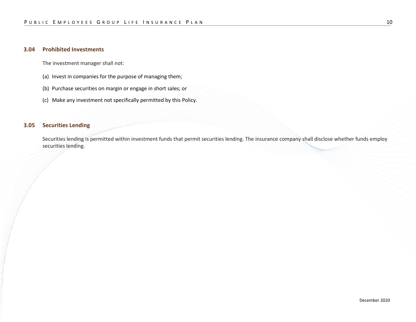#### **3.04 Prohibited Investments**

The investment manager shall not:

- (a) Invest in companies for the purpose of managing them;
- (b) Purchase securities on margin or engage in short sales; or
- (c) Make any investment not specifically permitted by this Policy.

#### **3.05 Securities Lending**

Securities lending is permitted within investment funds that permit securities lending. The insurance company shall disclose whether funds employ securities lending.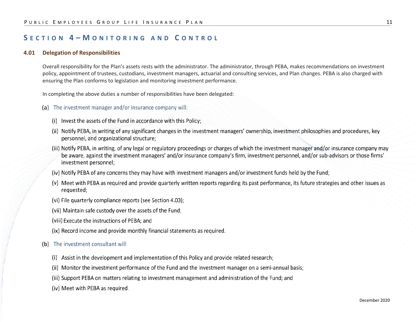# **S ECTION 4 – M ONITORING AND C ONTROL**

#### **4.01 Delegation of Responsibilities**

Overall responsibility for the Plan's assets rests with the administrator. The administrator, through PEBA, makes recommendations on investment policy, appointment of trustees, custodians, investment managers, actuarial and consulting services, and Plan changes. PEBA is also charged with ensuring the Plan conforms to legislation and monitoring investment performance.

In completing the above duties a number of responsibilities have been delegated:

- (a) The investment manager and/or insurance company will:
	- (i) Invest the assets of the Fund in accordance with this Policy;
	- (ii) Notify PEBA, in writing of any significant changes in the investment managers' ownership, investment philosophies and procedures, key personnel, and organizational structure;
	- (iii) Notify PEBA, in writing, of any legal or regulatory proceedings or charges of which the investment manager and/or insurance company may be aware, against the investment managers' and/or insurance company's firm, investment personnel, and/or sub-advisors or those firms' investment personnel;
	- (iv) Notify PEBA of any concerns they may have with investment managers and/or investment funds held by the Fund;
	- (v) Meet with PEBA as required and provide quarterly written reports regarding its past performance, its future strategies and other issues as requested;
	- (vi) File quarterly compliance reports (see Section 4.03);
	- (vii) Maintain safe custody over the assets of the Fund;
	- (viii) Execute the instructions of PEBA; and
	- (ix) Record income and provide monthly financial statements as required.

#### (b) The investment consultant will:

- (i) Assist in the development and implementation of this Policy and provide related research;
- (ii) Monitor the investment performance of the Fund and the investment manager on a semi-annual basis;
- (iii) Support PEBA on matters relating to investment management and administration of the Fund; and
- (iv) Meet with PEBA as required.

December 2020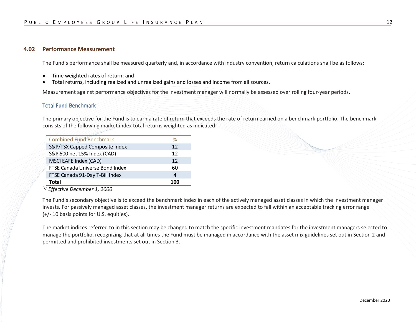#### **4.02 Performance Measurement**

The Fund's performance shall be measured quarterly and, in accordance with industry convention, return calculations shall be as follows:

- Time weighted rates of return; and
- Total returns, including realized and unrealized gains and losses and income from all sources.

Measurement against performance objectives for the investment manager will normally be assessed over rolling four-year periods.

#### **Total Fund Benchmark**

The primary objective for the Fund is to earn a rate of return that exceeds the rate of return earned on a benchmark portfolio. The benchmark consists of the following market index total returns weighted as indicated:

| <b>Combined Fund Benchmark</b>  | %   |
|---------------------------------|-----|
| S&P/TSX Capped Composite Index  | 12  |
| S&P 500 net 15% Index (CAD)     | 12  |
| MSCI EAFE Index (CAD)           | 12  |
| FTSE Canada Universe Bond Index | 60  |
| FTSE Canada 91-Day T-Bill Index | 4   |
| Total                           | 100 |

*(1) Effective December 1, 2000*

The Fund's secondary objective is to exceed the benchmark index in each of the actively managed asset classes in which the investment manager invests. For passively managed asset classes, the investment manager returns are expected to fall within an acceptable tracking error range (+/- 10 basis points for U.S. equities).

The market indices referred to in this section may be changed to match the specific investment mandates for the investment managers selected to manage the portfolio, recognizing that at all times the Fund must be managed in accordance with the asset mix guidelines set out in Section 2 and permitted and prohibited investments set out in Section 3.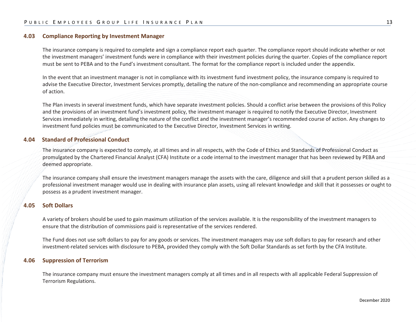#### **4.03 Compliance Reporting by Investment Manager**

The insurance company is required to complete and sign a compliance report each quarter. The compliance report should indicate whether or not the investment managers' investment funds were in compliance with their investment policies during the quarter. Copies of the compliance report must be sent to PEBA and to the Fund's investment consultant. The format for the compliance report is included under the appendix.

In the event that an investment manager is not in compliance with its investment fund investment policy, the insurance company is required to advise the Executive Director, Investment Services promptly, detailing the nature of the non-compliance and recommending an appropriate course of action.

The Plan invests in several investment funds, which have separate investment policies. Should a conflict arise between the provisions of this Policy and the provisions of an investment fund's investment policy, the investment manager is required to notify the Executive Director, Investment Services immediately in writing, detailing the nature of the conflict and the investment manager's recommended course of action. Any changes to investment fund policies must be communicated to the Executive Director, Investment Services in writing.

#### **4.04 Standard of Professional Conduct**

The insurance company is expected to comply, at all times and in all respects, with the Code of Ethics and Standards of Professional Conduct as promulgated by the Chartered Financial Analyst (CFA) Institute or a code internal to the investment manager that has been reviewed by PEBA and deemed appropriate.

The insurance company shall ensure the investment managers manage the assets with the care, diligence and skill that a prudent person skilled as a professional investment manager would use in dealing with insurance plan assets, using all relevant knowledge and skill that it possesses or ought to possess as a prudent investment manager.

#### **4.05 Soft Dollars**

A variety of brokers should be used to gain maximum utilization of the services available. It is the responsibility of the investment managers to ensure that the distribution of commissions paid is representative of the services rendered.

The Fund does not use soft dollars to pay for any goods or services. The investment managers may use soft dollars to pay for research and other investment-related services with disclosure to PEBA, provided they comply with the Soft Dollar Standards as set forth by the CFA Institute.

#### **4.06 Suppression of Terrorism**

The insurance company must ensure the investment managers comply at all times and in all respects with all applicable Federal Suppression of Terrorism Regulations.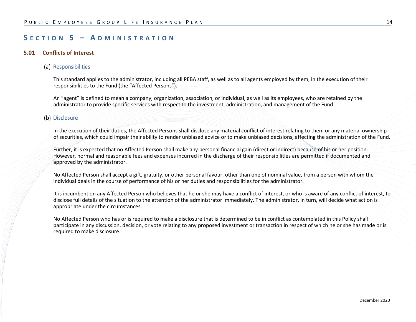## **S ECTION 5 – A DMINISTRATION**

#### **5.01 Conflicts of Interest**

#### (a) Responsibilities

This standard applies to the administrator, including all PEBA staff, as well as to all agents employed by them, in the execution of their responsibilities to the Fund (the "Affected Persons").

An "agent" is defined to mean a company, organization, association, or individual, as well as its employees, who are retained by the administrator to provide specific services with respect to the investment, administration, and management of the Fund.

#### (b) Disclosure

In the execution of their duties, the Affected Persons shall disclose any material conflict of interest relating to them or any material ownership of securities, which could impair their ability to render unbiased advice or to make unbiased decisions, affecting the administration of the Fund.

Further, it is expected that no Affected Person shall make any personal financial gain (direct or indirect) because of his or her position. However, normal and reasonable fees and expenses incurred in the discharge of their responsibilities are permitted if documented and approved by the administrator.

No Affected Person shall accept a gift, gratuity, or other personal favour, other than one of nominal value, from a person with whom the individual deals in the course of performance of his or her duties and responsibilities for the administrator.

It is incumbent on any Affected Person who believes that he or she may have a conflict of interest, or who is aware of any conflict of interest, to disclose full details of the situation to the attention of the administrator immediately. The administrator, in turn, will decide what action is appropriate under the circumstances.

No Affected Person who has or is required to make a disclosure that is determined to be in conflict as contemplated in this Policy shall participate in any discussion, decision, or vote relating to any proposed investment or transaction in respect of which he or she has made or is required to make disclosure.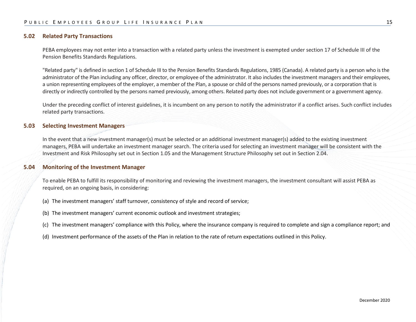#### **5.02 Related Party Transactions**

PEBA employees may not enter into a transaction with a related party unless the investment is exempted under section 17 of Schedule III of the Pension Benefits Standards Regulations.

"Related party" is defined in section 1 of Schedule III to the Pension Benefits Standards Regulations, 1985 (Canada). A related party is a person who is the administrator of the Plan including any officer, director, or employee of the administrator. It also includes the investment managers and their employees, a union representing employees of the employer, a member of the Plan, a spouse or child of the persons named previously, or a corporation that is directly or indirectly controlled by the persons named previously, among others. Related party does not include government or a government agency.

Under the preceding conflict of interest guidelines, it is incumbent on any person to notify the administrator if a conflict arises. Such conflict includes related party transactions.

#### **5.03 Selecting Investment Managers**

In the event that a new investment manager(s) must be selected or an additional investment manager(s) added to the existing investment managers, PEBA will undertake an investment manager search. The criteria used for selecting an investment manager will be consistent with the Investment and Risk Philosophy set out in Section 1.05 and the Management Structure Philosophy set out in Section 2.04.

#### **5.04 Monitoring of the Investment Manager**

To enable PEBA to fulfill its responsibility of monitoring and reviewing the investment managers, the investment consultant will assist PEBA as required, on an ongoing basis, in considering:

- (a) The investment managers' staff turnover, consistency of style and record of service;
- (b) The investment managers' current economic outlook and investment strategies;
- (c) The investment managers' compliance with this Policy, where the insurance company is required to complete and sign a compliance report; and
- (d) Investment performance of the assets of the Plan in relation to the rate of return expectations outlined in this Policy.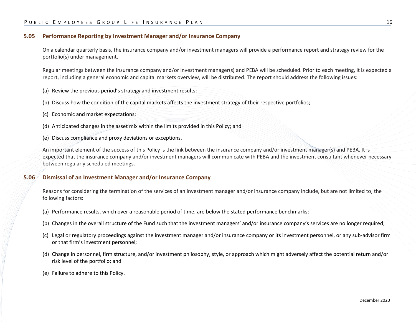#### **5.05 Performance Reporting by Investment Manager and/or Insurance Company**

On a calendar quarterly basis, the insurance company and/or investment managers will provide a performance report and strategy review for the portfolio(s) under management.

Regular meetings between the insurance company and/or investment manager(s) and PEBA will be scheduled. Prior to each meeting, it is expected a report, including a general economic and capital markets overview, will be distributed. The report should address the following issues:

- (a) Review the previous period's strategy and investment results;
- (b) Discuss how the condition of the capital markets affects the investment strategy of their respective portfolios;
- (c) Economic and market expectations;
- (d) Anticipated changes in the asset mix within the limits provided in this Policy; and
- (e) Discuss compliance and proxy deviations or exceptions.

An important element of the success of this Policy is the link between the insurance company and/or investment manager(s) and PEBA. It is expected that the insurance company and/or investment managers will communicate with PEBA and the investment consultant whenever necessary between regularly scheduled meetings.

#### **5.06 Dismissal of an Investment Manager and/or Insurance Company**

Reasons for considering the termination of the services of an investment manager and/or insurance company include, but are not limited to, the following factors:

- (a) Performance results, which over a reasonable period of time, are below the stated performance benchmarks;
- (b) Changes in the overall structure of the Fund such that the investment managers' and/or insurance company's services are no longer required;
- (c) Legal or regulatory proceedings against the investment manager and/or insurance company or its investment personnel, or any sub-advisor firm or that firm's investment personnel;
- (d) Change in personnel, firm structure, and/or investment philosophy, style, or approach which might adversely affect the potential return and/or risk level of the portfolio; and
- (e) Failure to adhere to this Policy.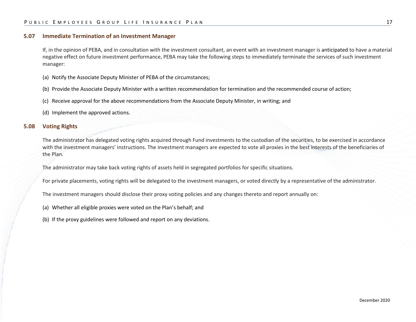#### **5.07 Immediate Termination of an Investment Manager**

If, in the opinion of PEBA, and in consultation with the investment consultant, an event with an investment manager is anticipated to have a material negative effect on future investment performance, PEBA may take the following steps to immediately terminate the services of such investment manager:

- (a) Notify the Associate Deputy Minister of PEBA of the circumstances;
- (b) Provide the Associate Deputy Minister with a written recommendation for termination and the recommended course of action;
- (c) Receive approval for the above recommendations from the Associate Deputy Minister, in writing; and
- (d) Implement the approved actions.

#### **5.08 Voting Rights**

The administrator has delegated voting rights acquired through Fund investments to the custodian of the securities, to be exercised in accordance with the investment managers' instructions. The investment managers are expected to vote all proxies in the best interests of the beneficiaries of the Plan.

The administrator may take back voting rights of assets held in segregated portfolios for specific situations.

For private placements, voting rights will be delegated to the investment managers, or voted directly by a representative of the administrator.

The investment managers should disclose their proxy voting policies and any changes thereto and report annually on:

(a) Whether all eligible proxies were voted on the Plan's behalf; and

(b) If the proxy guidelines were followed and report on any deviations.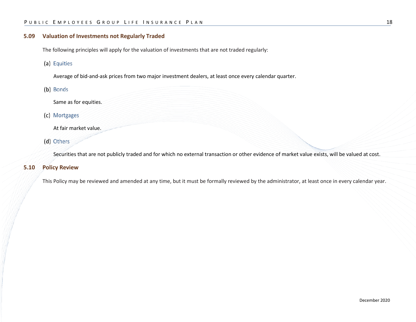#### **5.09 Valuation of Investments not Regularly Traded**

The following principles will apply for the valuation of investments that are not traded regularly:

(a) Equities

Average of bid-and-ask prices from two major investment dealers, at least once every calendar quarter.

(b) Bonds

Same as for equities.

(c) Mortgages

At fair market value.

(d) Others

Securities that are not publicly traded and for which no external transaction or other evidence of market value exists, will be valued at cost.

#### **5.10 Policy Review**

This Policy may be reviewed and amended at any time, but it must be formally reviewed by the administrator, at least once in every calendar year.